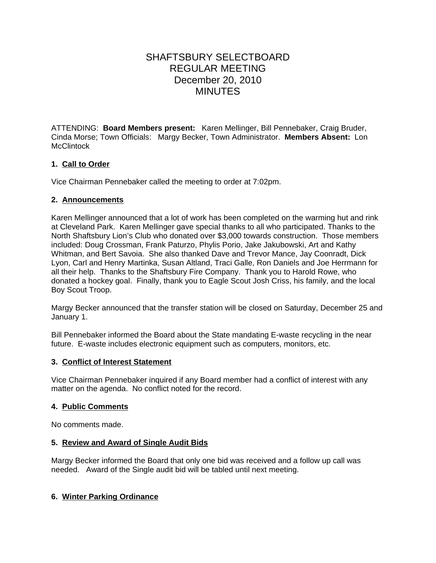# SHAFTSBURY SELECTBOARD REGULAR MEETING December 20, 2010 MINUTES

ATTENDING: **Board Members present:** Karen Mellinger, Bill Pennebaker, Craig Bruder, Cinda Morse; Town Officials: Margy Becker, Town Administrator. **Members Absent:** Lon **McClintock** 

# **1. Call to Order**

Vice Chairman Pennebaker called the meeting to order at 7:02pm.

#### **2. Announcements**

Karen Mellinger announced that a lot of work has been completed on the warming hut and rink at Cleveland Park. Karen Mellinger gave special thanks to all who participated. Thanks to the North Shaftsbury Lion's Club who donated over \$3,000 towards construction. Those members included: Doug Crossman, Frank Paturzo, Phylis Porio, Jake Jakubowski, Art and Kathy Whitman, and Bert Savoia. She also thanked Dave and Trevor Mance, Jay Coonradt, Dick Lyon, Carl and Henry Martinka, Susan Altland, Traci Galle, Ron Daniels and Joe Herrmann for all their help. Thanks to the Shaftsbury Fire Company. Thank you to Harold Rowe, who donated a hockey goal. Finally, thank you to Eagle Scout Josh Criss, his family, and the local Boy Scout Troop.

Margy Becker announced that the transfer station will be closed on Saturday, December 25 and January 1.

Bill Pennebaker informed the Board about the State mandating E-waste recycling in the near future. E-waste includes electronic equipment such as computers, monitors, etc.

## **3. Conflict of Interest Statement**

Vice Chairman Pennebaker inquired if any Board member had a conflict of interest with any matter on the agenda. No conflict noted for the record.

## **4. Public Comments**

No comments made.

## **5. Review and Award of Single Audit Bids**

Margy Becker informed the Board that only one bid was received and a follow up call was needed. Award of the Single audit bid will be tabled until next meeting.

## **6. Winter Parking Ordinance**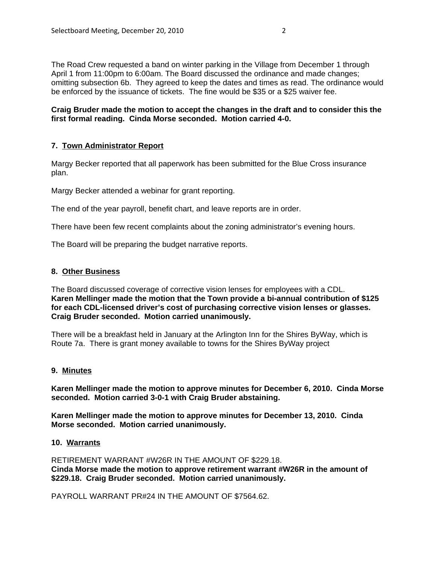The Road Crew requested a band on winter parking in the Village from December 1 through April 1 from 11:00pm to 6:00am. The Board discussed the ordinance and made changes; omitting subsection 6b. They agreed to keep the dates and times as read. The ordinance would be enforced by the issuance of tickets. The fine would be \$35 or a \$25 waiver fee.

**Craig Bruder made the motion to accept the changes in the draft and to consider this the first formal reading. Cinda Morse seconded. Motion carried 4-0.**

# **7. Town Administrator Report**

Margy Becker reported that all paperwork has been submitted for the Blue Cross insurance plan.

Margy Becker attended a webinar for grant reporting.

The end of the year payroll, benefit chart, and leave reports are in order.

There have been few recent complaints about the zoning administrator's evening hours.

The Board will be preparing the budget narrative reports.

#### **8. Other Business**

The Board discussed coverage of corrective vision lenses for employees with a CDL. **Karen Mellinger made the motion that the Town provide a bi-annual contribution of \$125 for each CDL-licensed driver's cost of purchasing corrective vision lenses or glasses. Craig Bruder seconded. Motion carried unanimously.**

There will be a breakfast held in January at the Arlington Inn for the Shires ByWay, which is Route 7a. There is grant money available to towns for the Shires ByWay project

#### **9. Minutes**

**Karen Mellinger made the motion to approve minutes for December 6, 2010. Cinda Morse seconded. Motion carried 3-0-1 with Craig Bruder abstaining.**

**Karen Mellinger made the motion to approve minutes for December 13, 2010. Cinda Morse seconded. Motion carried unanimously.**

#### **10. Warrants**

RETIREMENT WARRANT #W26R IN THE AMOUNT OF \$229.18. **Cinda Morse made the motion to approve retirement warrant #W26R in the amount of \$229.18. Craig Bruder seconded. Motion carried unanimously.** 

PAYROLL WARRANT PR#24 IN THE AMOUNT OF \$7564.62.